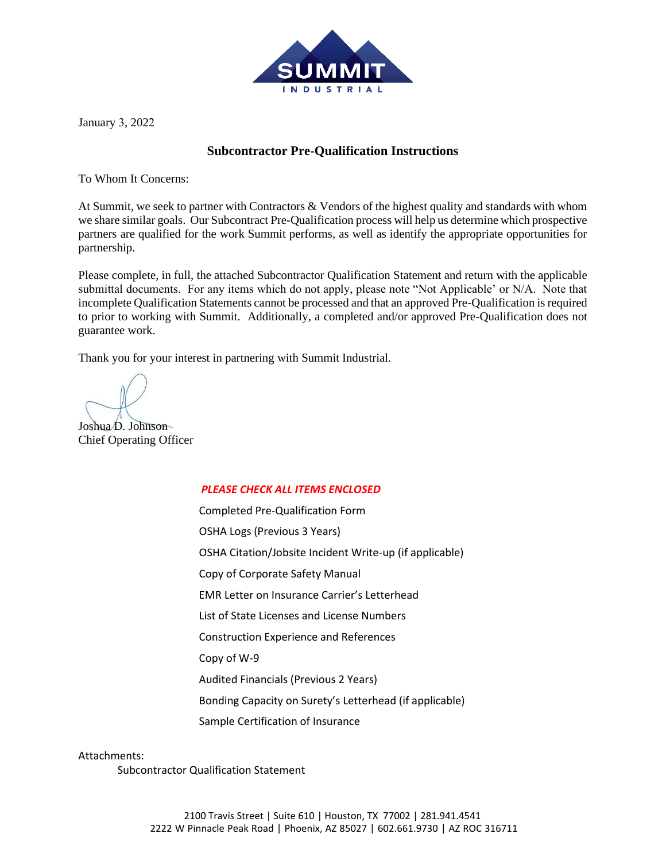

January 3, 2022

## **Subcontractor Pre-Qualification Instructions**

To Whom It Concerns:

At Summit, we seek to partner with Contractors & Vendors of the highest quality and standards with whom we share similar goals. Our Subcontract Pre-Qualification process will help us determine which prospective partners are qualified for the work Summit performs, as well as identify the appropriate opportunities for partnership.

Please complete, in full, the attached Subcontractor Qualification Statement and return with the applicable submittal documents. For any items which do not apply, please note "Not Applicable' or N/A. Note that incomplete Qualification Statements cannot be processed and that an approved Pre-Qualification is required to prior to working with Summit. Additionally, a completed and/or approved Pre-Qualification does not guarantee work.

Thank you for your interest in partnering with Summit Industrial.

Joshua D. Johnson Chief Operating Officer

## *PLEASE CHECK ALL ITEMS ENCLOSED*

Completed Pre-Qualification Form OSHA Logs (Previous 3 Years) OSHA Citation/Jobsite Incident Write-up (if applicable) Copy of Corporate Safety Manual EMR Letter on Insurance Carrier's Letterhead List of State Licenses and License Numbers Construction Experience and References Copy of W-9 Audited Financials (Previous 2 Years) Bonding Capacity on Surety's Letterhead (if applicable) Sample Certification of Insurance

Attachments:

Subcontractor Qualification Statement